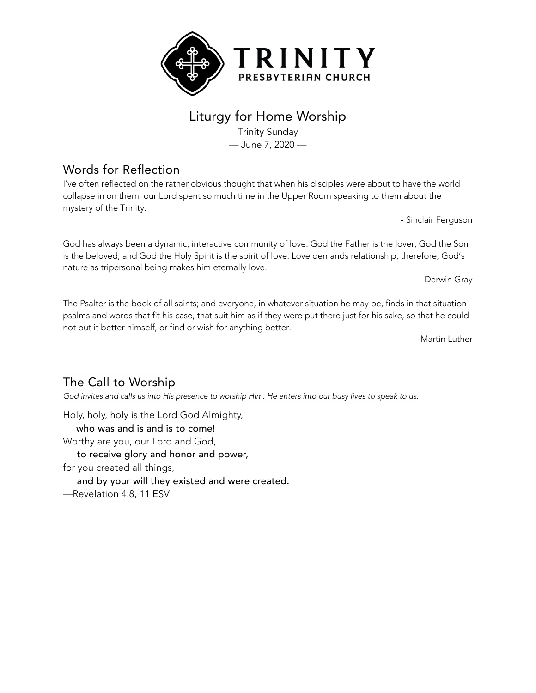

## Liturgy for Home Worship

Trinity Sunday — June 7, 2020 —

## Words for Reflection

I've often reflected on the rather obvious thought that when his disciples were about to have the world collapse in on them, our Lord spent so much time in the Upper Room speaking to them about the mystery of the Trinity.

- Sinclair Ferguson

God has always been a dynamic, interactive community of love. God the Father is the lover, God the Son is the beloved, and God the Holy Spirit is the spirit of love. Love demands relationship, therefore, God's nature as tripersonal being makes him eternally love.

- Derwin Gray

The Psalter is the book of all saints; and everyone, in whatever situation he may be, finds in that situation psalms and words that fit his case, that suit him as if they were put there just for his sake, so that he could not put it better himself, or find or wish for anything better.

-Martin Luther

## The Call to Worship

God invites and calls us into His presence to worship Him. He enters into our busy lives to speak to us.

Holy, holy, holy is the Lord God Almighty, who was and is and is to come! Worthy are you, our Lord and God, to receive glory and honor and power, for you created all things, and by your will they existed and were created. —Revelation 4:8, 11 ESV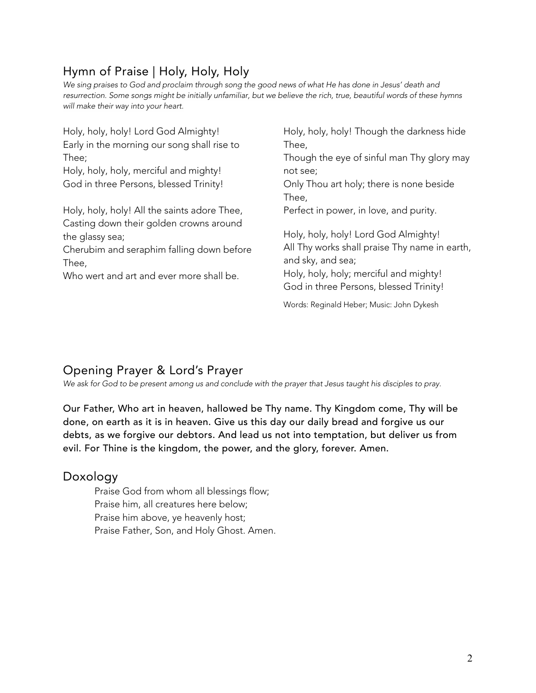# Hymn of Praise | Holy, Holy, Holy

We sing praises to God and proclaim through song the good news of what He has done in Jesus' death and resurrection. Some songs might be initially unfamiliar, but we believe the rich, true, beautiful words of these hymns *will make their way into your heart.*

| Holy, holy, holy! Though the darkness hide    |
|-----------------------------------------------|
| Thee,                                         |
| Though the eye of sinful man Thy glory may    |
| not see;                                      |
| Only Thou art holy; there is none beside      |
| Thee,                                         |
| Perfect in power, in love, and purity.        |
|                                               |
| Holy, holy, holy! Lord God Almighty!          |
| All Thy works shall praise Thy name in earth, |
| and sky, and sea;                             |
| Holy, holy, holy; merciful and mighty!        |
| God in three Persons, blessed Trinity!        |
| Words: Reginald Heber; Music: John Dykesh     |
|                                               |

# Opening Prayer & Lord's Prayer

*We ask for God to be present among us and conclude with the prayer that Jesus taught his disciples to pray.*

Our Father, Who art in heaven, hallowed be Thy name. Thy Kingdom come, Thy will be done, on earth as it is in heaven. Give us this day our daily bread and forgive us our debts, as we forgive our debtors. And lead us not into temptation, but deliver us from evil. For Thine is the kingdom, the power, and the glory, forever. Amen.

### Doxology

Praise God from whom all blessings flow; Praise him, all creatures here below; Praise him above, ye heavenly host; Praise Father, Son, and Holy Ghost. Amen.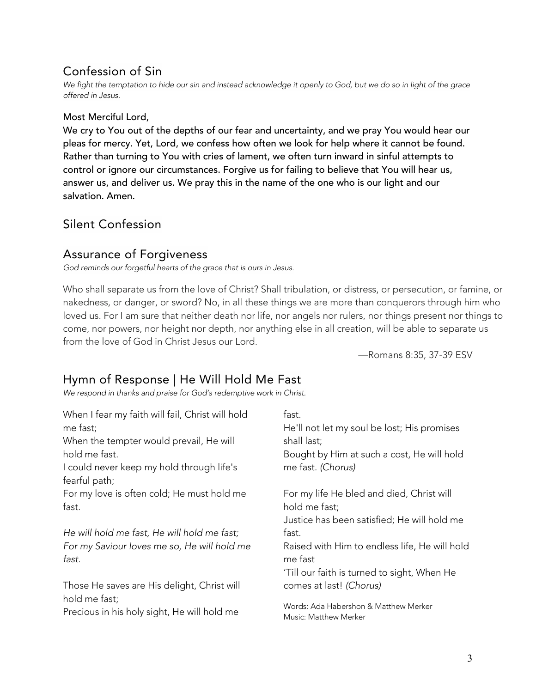## Confession of Sin

We fight the temptation to hide our sin and instead acknowledge it openly to God, but we do so in light of the grace *offered in Jesus.*

#### Most Merciful Lord,

We cry to You out of the depths of our fear and uncertainty, and we pray You would hear our pleas for mercy. Yet, Lord, we confess how often we look for help where it cannot be found. Rather than turning to You with cries of lament, we often turn inward in sinful attempts to control or ignore our circumstances. Forgive us for failing to believe that You will hear us, answer us, and deliver us. We pray this in the name of the one who is our light and our salvation. Amen.

### Silent Confession

### Assurance of Forgiveness

*God reminds our forgetful hearts of the grace that is ours in Jesus.*

Who shall separate us from the love of Christ? Shall tribulation, or distress, or persecution, or famine, or nakedness, or danger, or sword? No, in all these things we are more than conquerors through him who loved us. For I am sure that neither death nor life, nor angels nor rulers, nor things present nor things to come, nor powers, nor height nor depth, nor anything else in all creation, will be able to separate us from the love of God in Christ Jesus our Lord.

—Romans 8:35, 37-39 ESV

## Hymn of Response | He Will Hold Me Fast

*We respond in thanks and praise for God's redemptive work in Christ.*

| He'll not let my soul be lost; His promises   |
|-----------------------------------------------|
|                                               |
| Bought by Him at such a cost, He will hold    |
|                                               |
|                                               |
|                                               |
|                                               |
| Justice has been satisfied; He will hold me   |
|                                               |
| Raised with Him to endless life, He will hold |
| 'Till our faith is turned to sight, When He   |
|                                               |
|                                               |
|                                               |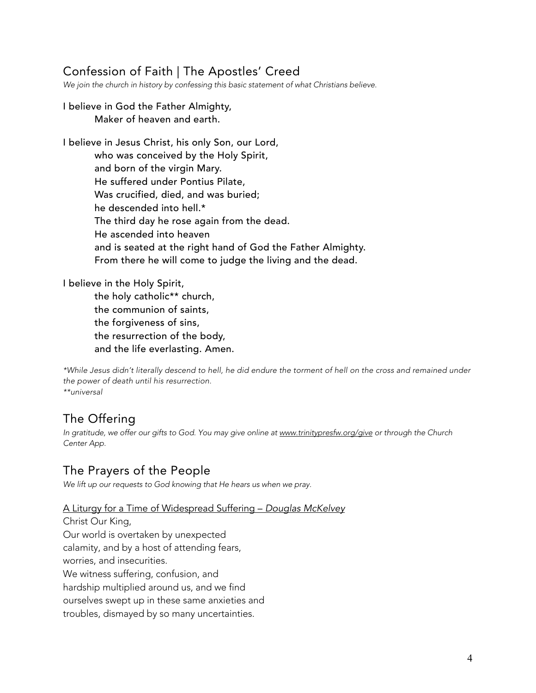## Confession of Faith | The Apostles' Creed

*We join the church in history by confessing this basic statement of what Christians believe.*

#### I believe in God the Father Almighty, Maker of heaven and earth.

I believe in Jesus Christ, his only Son, our Lord, who was conceived by the Holy Spirit, and born of the virgin Mary. He suffered under Pontius Pilate, Was crucified, died, and was buried; he descended into hell.\* The third day he rose again from the dead. He ascended into heaven and is seated at the right hand of God the Father Almighty. From there he will come to judge the living and the dead.

I believe in the Holy Spirit,

the holy catholic\*\* church, the communion of saints, the forgiveness of sins, the resurrection of the body, and the life everlasting. Amen.

\*While Jesus didn't literally descend to hell, he did endure the torment of hell on the cross and remained under *the power of death until his resurrection. \*\*universal*

### The Offering

*In gratitude, we offer our gifts to God. You may give online at www.trinitypresfw.org/give or through the Church Center App.*

### The Prayers of the People

*We lift up our requests to God knowing that He hears us when we pray.*

#### A Liturgy for a Time of Widespread Suffering – *Douglas McKelvey*

Christ Our King, Our world is overtaken by unexpected calamity, and by a host of attending fears, worries, and insecurities. We witness suffering, confusion, and hardship multiplied around us, and we find ourselves swept up in these same anxieties and troubles, dismayed by so many uncertainties.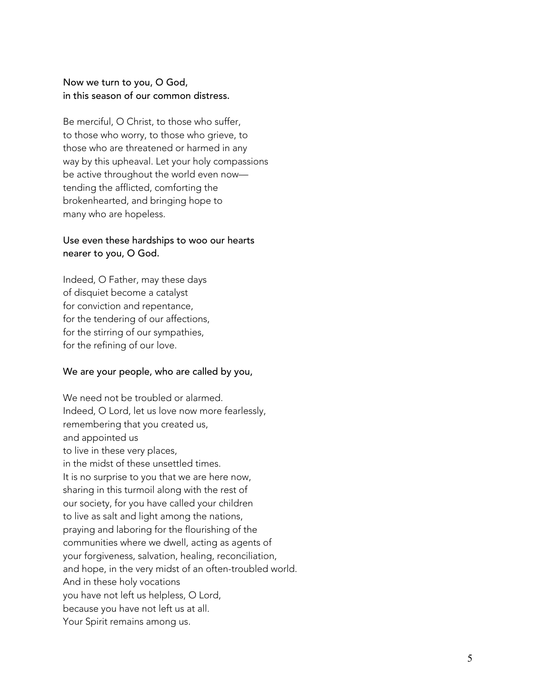#### Now we turn to you, O God, in this season of our common distress.

Be merciful, O Christ, to those who suffer, to those who worry, to those who grieve, to those who are threatened or harmed in any way by this upheaval. Let your holy compassions be active throughout the world even now tending the afflicted, comforting the brokenhearted, and bringing hope to many who are hopeless.

#### Use even these hardships to woo our hearts nearer to you, O God.

Indeed, O Father, may these days of disquiet become a catalyst for conviction and repentance, for the tendering of our affections, for the stirring of our sympathies, for the refining of our love.

#### We are your people, who are called by you,

We need not be troubled or alarmed. Indeed, O Lord, let us love now more fearlessly, remembering that you created us, and appointed us to live in these very places, in the midst of these unsettled times. It is no surprise to you that we are here now, sharing in this turmoil along with the rest of our society, for you have called your children to live as salt and light among the nations, praying and laboring for the flourishing of the communities where we dwell, acting as agents of your forgiveness, salvation, healing, reconciliation, and hope, in the very midst of an often -troubled world. And in these holy vocations you have not left us helpless, O Lord, because you have not left us at all. Your Spirit remains among us.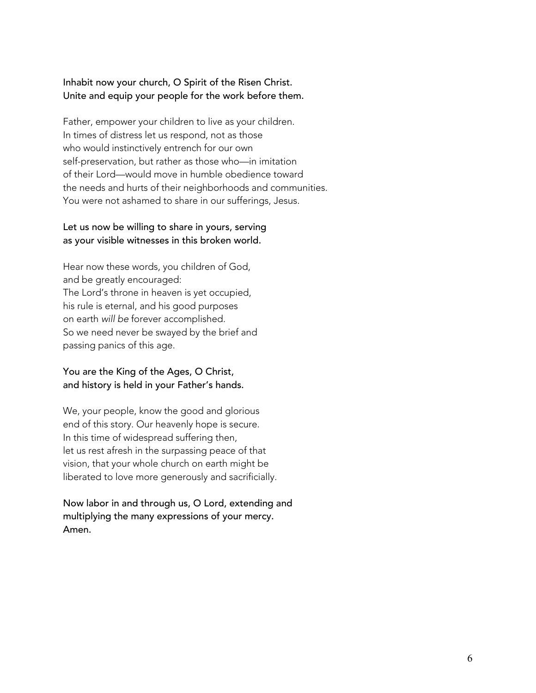#### Inhabit now your church, O Spirit of the Risen Christ. Unite and equip your people for the work before them.

Father, empower your children to live as your children. In times of distress let us respond, not as those who would instinctively entrench for our own self-preservation, but rather as those who—in imitation of their Lord—would move in humble obedience toward the needs and hurts of their neighborhoods and communities. You were not ashamed to share in our sufferings, Jesus.

#### Let us now be willing to share in yours, serving as your visible witnesses in this broken world.

Hear now these words, you children of God, and be greatly encouraged: The Lord's throne in heaven is yet occupied, his rule is eternal, and his good purposes on earth *will be* forever accomplished. So we need never be swayed by the brief and passing panics of this age.

#### You are the King of the Ages, O Christ, and history is held in your Father's hands.

We, your people, know the good and glorious end of this story. Our heavenly hope is secure. In this time of widespread suffering then, let us rest afresh in the surpassing peace of that vision, that your whole church on earth might be liberated to love more generously and sacrificially.

#### Now labor in and through us, O Lord, extending and multiplying the many expressions of your mercy. Amen.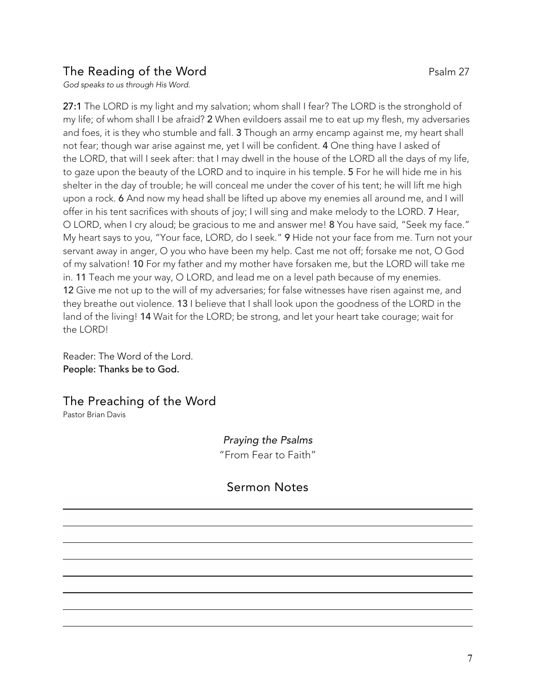## The Reading of the Word **Party 27** Psalm 27

*God speaks to us through His Word.*

27:1 The LORD is my light and my salvation; whom shall I fear? The LORD is the stronghold of my life; of whom shall I be afraid? 2 When evildoers assail me to eat up my flesh, my adversaries and foes, it is they who stumble and fall. 3 Though an army encamp against me, my heart shall not fear; though war arise against me, yet I will be confident. 4 One thing have I asked of the LORD, that will I seek after: that I may dwell in the house of the LORD all the days of my life, to gaze upon the beauty of the LORD and to inquire in his temple. 5 For he will hide me in his shelter in the day of trouble; he will conceal me under the cover of his tent; he will lift me high upon a rock. 6 And now my head shall be lifted up above my enemies all around me, and I will offer in his tent sacrifices with shouts of joy; I will sing and make melody to the LORD. 7 Hear, O LORD, when I cry aloud; be gracious to me and answer me! 8 You have said, "Seek my face." My heart says to you, "Your face, LORD, do I seek." 9 Hide not your face from me. Turn not your servant away in anger, O you who have been my help. Cast me not off; forsake me not, O God of my salvation! 10 For my father and my mother have forsaken me, but the LORD will take me in. 11 Teach me your way, O LORD, and lead me on a level path because of my enemies. 12 Give me not up to the will of my adversaries; for false witnesses have risen against me, and they breathe out violence. 13 I believe that I shall look upon the goodness of the LORD in the land of the living! 14 Wait for the LORD; be strong, and let your heart take courage; wait for the LORD!

Reader: The Word of the Lord. People: Thanks be to God.

The Preaching of the Word Pastor Brian Davis

> *Praying the Psalms* "From Fear to Faith"

Sermon Notes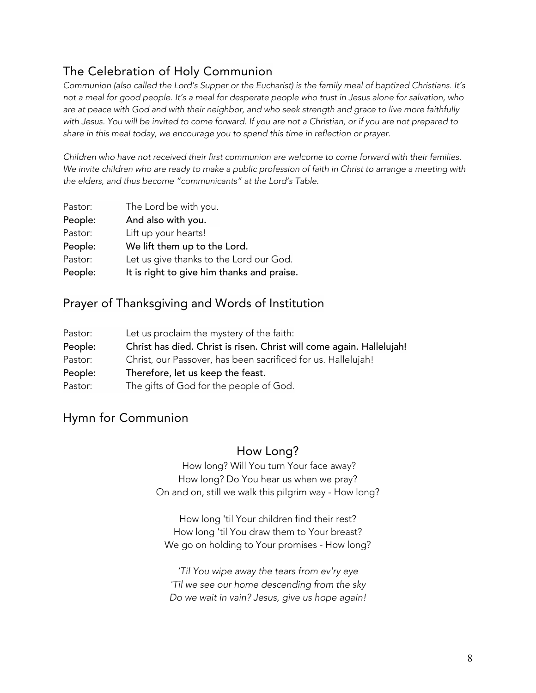## The Celebration of Holy Communion

Communion (also called the Lord's Supper or the Eucharist) is the family meal of baptized Christians. It's not a meal for good people. It's a meal for desperate people who trust in Jesus alone for salvation, who are at peace with God and with their neighbor, and who seek strength and grace to live more faithfully with Jesus. You will be invited to come forward. If you are not a Christian, or if you are not prepared to *share in this meal today, we encourage you to spend this time in reflection or prayer.*

*Children who have not received their first communion are welcome to come forward with their families.* We invite children who are ready to make a public profession of faith in Christ to arrange a meeting with *the elders, and thus become "communicants" at the Lord's Table.*

| Pastor: | The Lord be with you.                      |
|---------|--------------------------------------------|
| People: | And also with you.                         |
| Pastor: | Lift up your hearts!                       |
| People: | We lift them up to the Lord.               |
| Pastor: | Let us give thanks to the Lord our God.    |
| People: | It is right to give him thanks and praise. |

### Prayer of Thanksgiving and Words of Institution

| Pastor: | Let us proclaim the mystery of the faith:                             |
|---------|-----------------------------------------------------------------------|
| People: | Christ has died. Christ is risen. Christ will come again. Hallelujah! |
| Pastor: | Christ, our Passover, has been sacrificed for us. Hallelujah!         |
| People: | Therefore, let us keep the feast.                                     |
| Pastor: | The gifts of God for the people of God.                               |

## Hymn for Communion

### How Long?

How long? Will You turn Your face away? How long? Do You hear us when we pray? On and on, still we walk this pilgrim way - How long?

How long 'til Your children find their rest? How long 'til You draw them to Your breast? We go on holding to Your promises - How long?

*'Til You wipe away the tears from ev'ry eye 'Til we see our home descending from the sky Do we wait in vain? Jesus, give us hope again!*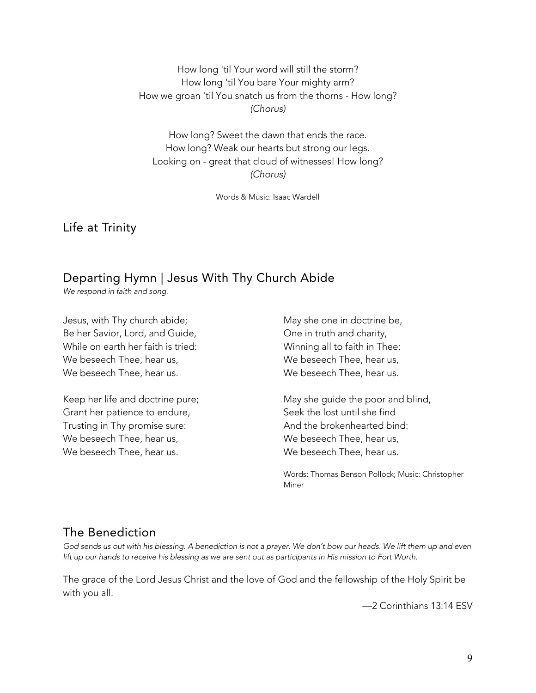How long 'til Your word will still the storm? How long 'til You bare Your mighty arm? How we groan 'til You snatch us from the thorns - How long? *(Chorus)*

How long? Sweet the dawn that ends the race. How long? Weak our hearts but strong our legs. Looking on - great that cloud of witnesses! How long? *(Chorus)*

Words & Music: Isaac Wardell

Life at Trinity

# Departing Hymn | Jesus With Thy Church Abide

*We respond in faith and song.*

Jesus, with Thy church abide; Be her Savior, Lord, and Guide, While on earth her faith is tried: We beseech Thee, hear us, We beseech Thee, hear us.

Keep her life and doctrine pure; Grant her patience to endure, Trusting in Thy promise sure: We beseech Thee, hear us, We beseech Thee, hear us.

May she one in doctrine be, One in truth and charity, Winning all to faith in Thee: We beseech Thee, hear us, We beseech Thee, hear us.

May she guide the poor and blind, Seek the lost until she find And the brokenhearted bind: We beseech Thee, hear us, We beseech Thee, hear us.

Words: Thomas Benson Pollock; Music: Christopher Miner

### The Benediction

God sends us out with his blessing. A benediction is not a prayer. We don't bow our heads. We lift them up and even lift up our hands to receive his blessing as we are sent out as participants in His mission to Fort Worth.

The grace of the Lord Jesus Christ and the love of God and the fellowship of the Holy Spirit be with you all.

—2 Corinthians 13:14 ESV